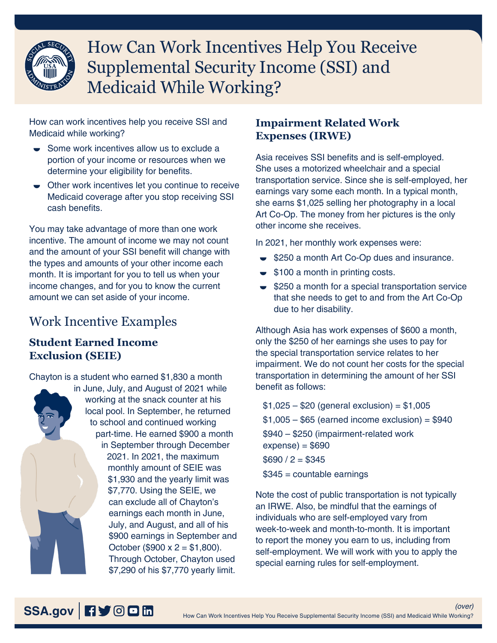

# How Can Work Incentives Help You Receive Supplemental Security Income (SSI) and Medicaid While Working?

How can work incentives help you receive SSI and Medicaid while working?

- Some work incentives allow us to exclude a portion of your income or resources when we determine your eligibility for benefits.
- $\bullet$  Other work incentives let you continue to receive Medicaid coverage after you stop receiving SSI cash benefits.

You may take advantage of more than one work incentive. The amount of income we may not count and the amount of your SSI benefit will change with the types and amounts of your other income each month. It is important for you to tell us when your income changes, and for you to know the current amount we can set aside of your income.

## Work Incentive Examples

#### **Student Earned Income Exclusion (SEIE)**

Chayton is a student who earned \$1,830 a month in June, July, and August of 2021 while working at the snack counter at his local pool. In September, he returned to school and continued working part-time. He earned \$900 a month in September through December 2021. In 2021, the maximum monthly amount of SEIE was \$1,930 and the yearly limit was \$7,770. Using the SEIE, we can exclude all of Chayton's earnings each month in June, July, and August, and all of his \$900 earnings in September and October (\$900 x  $2 = $1,800$ ). Through October, Chayton used \$7,290 of his \$7,770 yearly limit.

### **Impairment Related Work Expenses (IRWE)**

Asia receives SSI benefits and is self-employed. She uses a motorized wheelchair and a special transportation service. Since she is self-employed, her earnings vary some each month. In a typical month, she earns \$1,025 selling her photography in a local Art Co-Op. The money from her pictures is the only other income she receives.

In 2021, her monthly work expenses were:

- $\bullet$  \$250 a month Art Co-Op dues and insurance.
- $\bullet$  \$100 a month in printing costs.
- $\bullet$  \$250 a month for a special transportation service that she needs to get to and from the Art Co-Op due to her disability.

Although Asia has work expenses of \$600 a month, only the \$250 of her earnings she uses to pay for the special transportation service relates to her impairment. We do not count her costs for the special transportation in determining the amount of her SSI benefit as follows:

 $$1,025 - $20$  (general exclusion) = \$1,005  $$1,005 - $65$  (earned income exclusion) = \$940 \$940 – \$250 (impairment-related work  $expense) = $690$  $$690 / 2 = $345$ 

\$345 = countable earnings

Note the cost of public transportation is not typically an IRWE. Also, be mindful that the earnings of individuals who are self-employed vary from week-to-week and month-to-month. It is important to report the money you earn to us, including from self-employment. We will work with you to apply the special earning rules for self-employment.